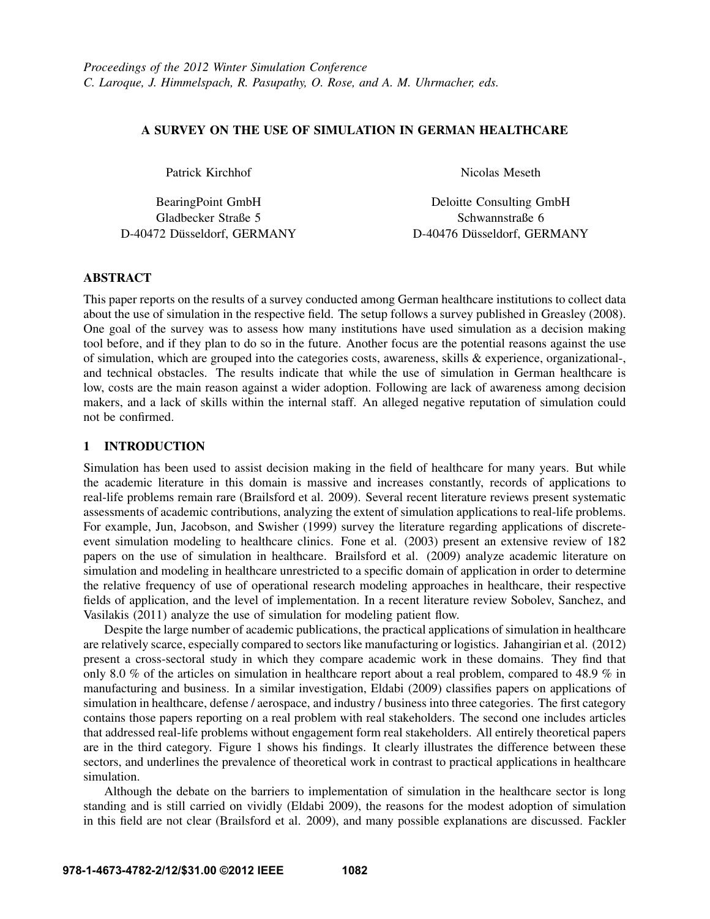## A SURVEY ON THE USE OF SIMULATION IN GERMAN HEALTHCARE

Patrick Kirchhof

BearingPoint GmbH Gladbecker Straße 5 D-40472 Düsseldorf, GERMANY Nicolas Meseth

Deloitte Consulting GmbH Schwannstraße 6 D-40476 Düsseldorf, GERMANY

## ABSTRACT

This paper reports on the results of a survey conducted among German healthcare institutions to collect data about the use of simulation in the respective field. The setup follows a survey published in Greasley (2008). One goal of the survey was to assess how many institutions have used simulation as a decision making tool before, and if they plan to do so in the future. Another focus are the potential reasons against the use of simulation, which are grouped into the categories costs, awareness, skills & experience, organizational-, and technical obstacles. The results indicate that while the use of simulation in German healthcare is low, costs are the main reason against a wider adoption. Following are lack of awareness among decision makers, and a lack of skills within the internal staff. An alleged negative reputation of simulation could not be confirmed.

# 1 INTRODUCTION

Simulation has been used to assist decision making in the field of healthcare for many years. But while the academic literature in this domain is massive and increases constantly, records of applications to real-life problems remain rare (Brailsford et al. 2009). Several recent literature reviews present systematic assessments of academic contributions, analyzing the extent of simulation applications to real-life problems. For example, Jun, Jacobson, and Swisher (1999) survey the literature regarding applications of discreteevent simulation modeling to healthcare clinics. Fone et al. (2003) present an extensive review of 182 papers on the use of simulation in healthcare. Brailsford et al. (2009) analyze academic literature on simulation and modeling in healthcare unrestricted to a specific domain of application in order to determine the relative frequency of use of operational research modeling approaches in healthcare, their respective fields of application, and the level of implementation. In a recent literature review Sobolev, Sanchez, and Vasilakis (2011) analyze the use of simulation for modeling patient flow.

Despite the large number of academic publications, the practical applications of simulation in healthcare are relatively scarce, especially compared to sectors like manufacturing or logistics. Jahangirian et al. (2012) present a cross-sectoral study in which they compare academic work in these domains. They find that only 8.0 % of the articles on simulation in healthcare report about a real problem, compared to 48.9 % in manufacturing and business. In a similar investigation, Eldabi (2009) classifies papers on applications of simulation in healthcare, defense / aerospace, and industry / business into three categories. The first category contains those papers reporting on a real problem with real stakeholders. The second one includes articles that addressed real-life problems without engagement form real stakeholders. All entirely theoretical papers are in the third category. Figure 1 shows his findings. It clearly illustrates the difference between these sectors, and underlines the prevalence of theoretical work in contrast to practical applications in healthcare simulation.

Although the debate on the barriers to implementation of simulation in the healthcare sector is long standing and is still carried on vividly (Eldabi 2009), the reasons for the modest adoption of simulation in this field are not clear (Brailsford et al. 2009), and many possible explanations are discussed. Fackler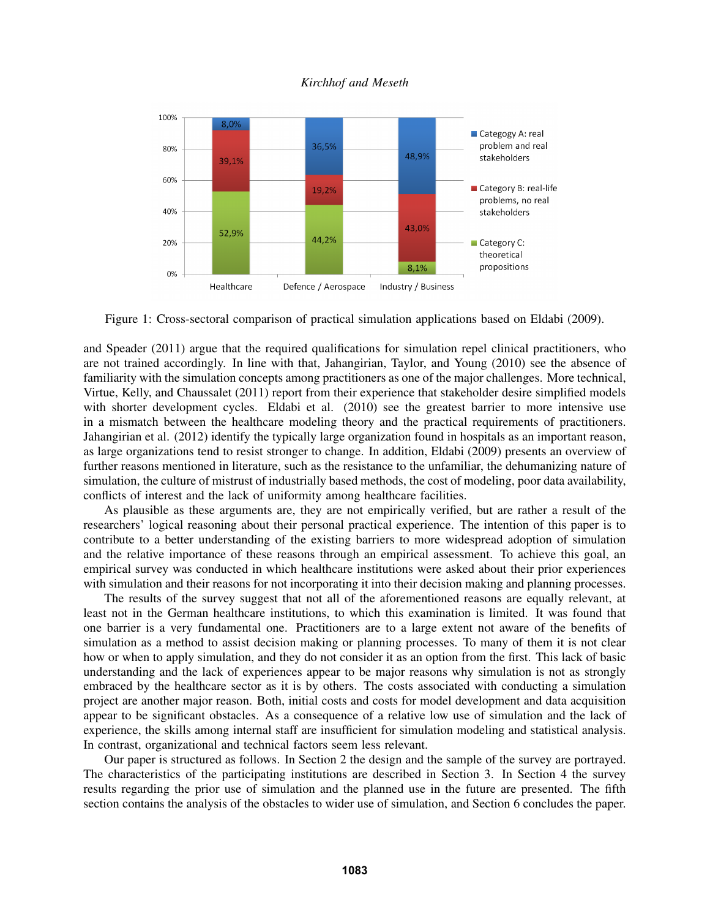

Figure 1: Cross-sectoral comparison of practical simulation applications based on Eldabi (2009).

and Speader (2011) argue that the required qualifications for simulation repel clinical practitioners, who are not trained accordingly. In line with that, Jahangirian, Taylor, and Young (2010) see the absence of familiarity with the simulation concepts among practitioners as one of the major challenges. More technical, Virtue, Kelly, and Chaussalet (2011) report from their experience that stakeholder desire simplified models with shorter development cycles. Eldabi et al. (2010) see the greatest barrier to more intensive use in a mismatch between the healthcare modeling theory and the practical requirements of practitioners. Jahangirian et al. (2012) identify the typically large organization found in hospitals as an important reason, as large organizations tend to resist stronger to change. In addition, Eldabi (2009) presents an overview of further reasons mentioned in literature, such as the resistance to the unfamiliar, the dehumanizing nature of simulation, the culture of mistrust of industrially based methods, the cost of modeling, poor data availability, conflicts of interest and the lack of uniformity among healthcare facilities.

As plausible as these arguments are, they are not empirically verified, but are rather a result of the researchers' logical reasoning about their personal practical experience. The intention of this paper is to contribute to a better understanding of the existing barriers to more widespread adoption of simulation and the relative importance of these reasons through an empirical assessment. To achieve this goal, an empirical survey was conducted in which healthcare institutions were asked about their prior experiences with simulation and their reasons for not incorporating it into their decision making and planning processes.

The results of the survey suggest that not all of the aforementioned reasons are equally relevant, at least not in the German healthcare institutions, to which this examination is limited. It was found that one barrier is a very fundamental one. Practitioners are to a large extent not aware of the benefits of simulation as a method to assist decision making or planning processes. To many of them it is not clear how or when to apply simulation, and they do not consider it as an option from the first. This lack of basic understanding and the lack of experiences appear to be major reasons why simulation is not as strongly embraced by the healthcare sector as it is by others. The costs associated with conducting a simulation project are another major reason. Both, initial costs and costs for model development and data acquisition appear to be significant obstacles. As a consequence of a relative low use of simulation and the lack of experience, the skills among internal staff are insufficient for simulation modeling and statistical analysis. In contrast, organizational and technical factors seem less relevant.

Our paper is structured as follows. In Section 2 the design and the sample of the survey are portrayed. The characteristics of the participating institutions are described in Section 3. In Section 4 the survey results regarding the prior use of simulation and the planned use in the future are presented. The fifth section contains the analysis of the obstacles to wider use of simulation, and Section 6 concludes the paper.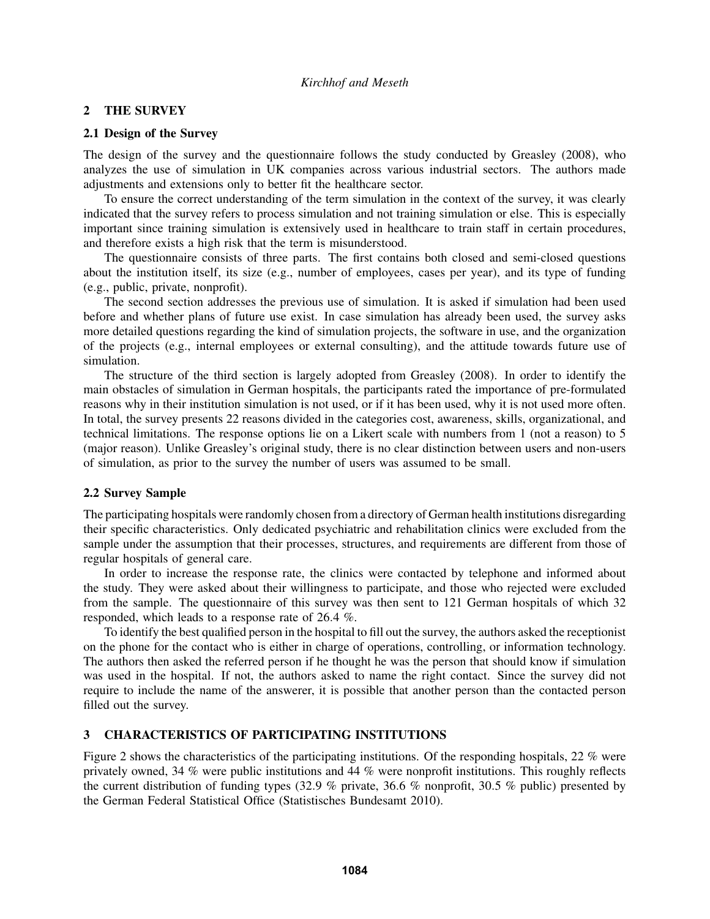#### 2 THE SURVEY

#### 2.1 Design of the Survey

The design of the survey and the questionnaire follows the study conducted by Greasley (2008), who analyzes the use of simulation in UK companies across various industrial sectors. The authors made adjustments and extensions only to better fit the healthcare sector.

To ensure the correct understanding of the term simulation in the context of the survey, it was clearly indicated that the survey refers to process simulation and not training simulation or else. This is especially important since training simulation is extensively used in healthcare to train staff in certain procedures, and therefore exists a high risk that the term is misunderstood.

The questionnaire consists of three parts. The first contains both closed and semi-closed questions about the institution itself, its size (e.g., number of employees, cases per year), and its type of funding (e.g., public, private, nonprofit).

The second section addresses the previous use of simulation. It is asked if simulation had been used before and whether plans of future use exist. In case simulation has already been used, the survey asks more detailed questions regarding the kind of simulation projects, the software in use, and the organization of the projects (e.g., internal employees or external consulting), and the attitude towards future use of simulation.

The structure of the third section is largely adopted from Greasley (2008). In order to identify the main obstacles of simulation in German hospitals, the participants rated the importance of pre-formulated reasons why in their institution simulation is not used, or if it has been used, why it is not used more often. In total, the survey presents 22 reasons divided in the categories cost, awareness, skills, organizational, and technical limitations. The response options lie on a Likert scale with numbers from 1 (not a reason) to 5 (major reason). Unlike Greasley's original study, there is no clear distinction between users and non-users of simulation, as prior to the survey the number of users was assumed to be small.

#### 2.2 Survey Sample

The participating hospitals were randomly chosen from a directory of German health institutions disregarding their specific characteristics. Only dedicated psychiatric and rehabilitation clinics were excluded from the sample under the assumption that their processes, structures, and requirements are different from those of regular hospitals of general care.

In order to increase the response rate, the clinics were contacted by telephone and informed about the study. They were asked about their willingness to participate, and those who rejected were excluded from the sample. The questionnaire of this survey was then sent to 121 German hospitals of which 32 responded, which leads to a response rate of 26.4 %.

To identify the best qualified person in the hospital to fill out the survey, the authors asked the receptionist on the phone for the contact who is either in charge of operations, controlling, or information technology. The authors then asked the referred person if he thought he was the person that should know if simulation was used in the hospital. If not, the authors asked to name the right contact. Since the survey did not require to include the name of the answerer, it is possible that another person than the contacted person filled out the survey.

# 3 CHARACTERISTICS OF PARTICIPATING INSTITUTIONS

Figure 2 shows the characteristics of the participating institutions. Of the responding hospitals, 22 % were privately owned, 34 % were public institutions and 44 % were nonprofit institutions. This roughly reflects the current distribution of funding types (32.9 % private, 36.6 % nonprofit, 30.5 % public) presented by the German Federal Statistical Office (Statistisches Bundesamt 2010).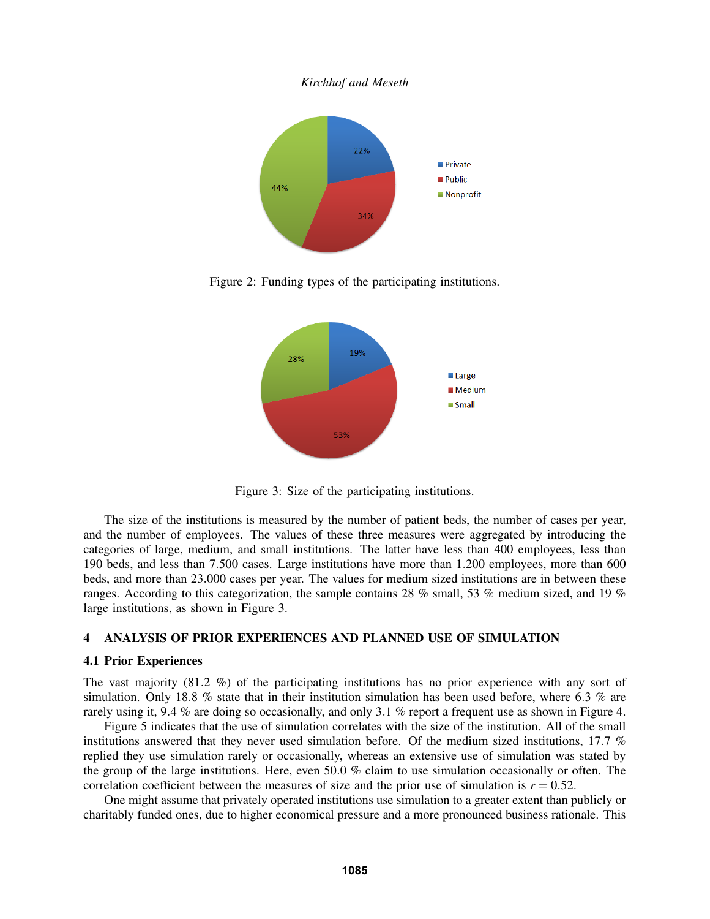

Figure 2: Funding types of the participating institutions.



Figure 3: Size of the participating institutions.

The size of the institutions is measured by the number of patient beds, the number of cases per year, and the number of employees. The values of these three measures were aggregated by introducing the categories of large, medium, and small institutions. The latter have less than 400 employees, less than 190 beds, and less than 7.500 cases. Large institutions have more than 1.200 employees, more than 600 beds, and more than 23.000 cases per year. The values for medium sized institutions are in between these ranges. According to this categorization, the sample contains 28 % small, 53 % medium sized, and 19 % large institutions, as shown in Figure 3.

## 4 ANALYSIS OF PRIOR EXPERIENCES AND PLANNED USE OF SIMULATION

#### 4.1 Prior Experiences

The vast majority (81.2 %) of the participating institutions has no prior experience with any sort of simulation. Only 18.8 % state that in their institution simulation has been used before, where 6.3 % are rarely using it, 9.4 % are doing so occasionally, and only 3.1 % report a frequent use as shown in Figure 4.

Figure 5 indicates that the use of simulation correlates with the size of the institution. All of the small institutions answered that they never used simulation before. Of the medium sized institutions, 17.7 % replied they use simulation rarely or occasionally, whereas an extensive use of simulation was stated by the group of the large institutions. Here, even 50.0 % claim to use simulation occasionally or often. The correlation coefficient between the measures of size and the prior use of simulation is  $r = 0.52$ .

One might assume that privately operated institutions use simulation to a greater extent than publicly or charitably funded ones, due to higher economical pressure and a more pronounced business rationale. This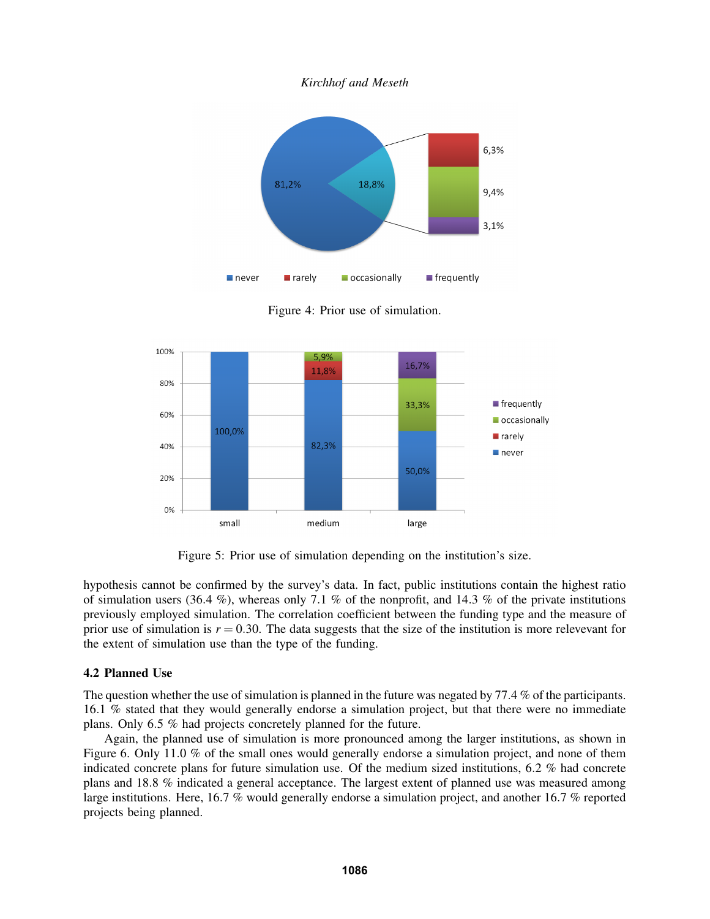

Figure 4: Prior use of simulation.



Figure 5: Prior use of simulation depending on the institution's size.

hypothesis cannot be confirmed by the survey's data. In fact, public institutions contain the highest ratio of simulation users (36.4 %), whereas only 7.1 % of the nonprofit, and 14.3 % of the private institutions previously employed simulation. The correlation coefficient between the funding type and the measure of prior use of simulation is  $r = 0.30$ . The data suggests that the size of the institution is more relevevant for the extent of simulation use than the type of the funding.

#### 4.2 Planned Use

The question whether the use of simulation is planned in the future was negated by 77.4 % of the participants. 16.1 % stated that they would generally endorse a simulation project, but that there were no immediate plans. Only 6.5 % had projects concretely planned for the future.

Again, the planned use of simulation is more pronounced among the larger institutions, as shown in Figure 6. Only 11.0 % of the small ones would generally endorse a simulation project, and none of them indicated concrete plans for future simulation use. Of the medium sized institutions, 6.2 % had concrete plans and 18.8 % indicated a general acceptance. The largest extent of planned use was measured among large institutions. Here, 16.7 % would generally endorse a simulation project, and another 16.7 % reported projects being planned.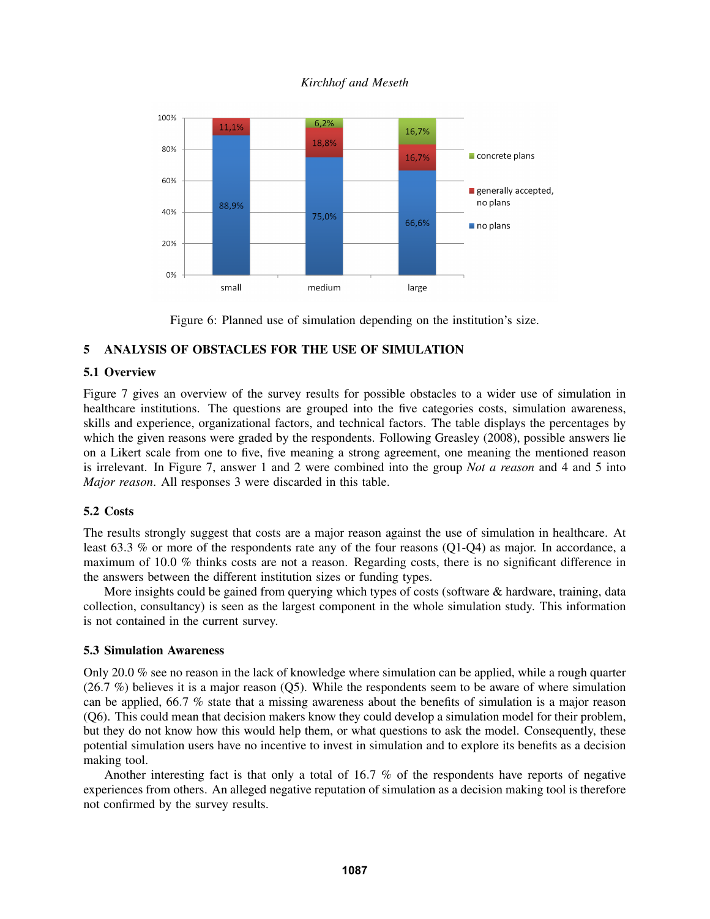

Figure 6: Planned use of simulation depending on the institution's size.

## 5 ANALYSIS OF OBSTACLES FOR THE USE OF SIMULATION

### 5.1 Overview

Figure 7 gives an overview of the survey results for possible obstacles to a wider use of simulation in healthcare institutions. The questions are grouped into the five categories costs, simulation awareness, skills and experience, organizational factors, and technical factors. The table displays the percentages by which the given reasons were graded by the respondents. Following Greasley (2008), possible answers lie on a Likert scale from one to five, five meaning a strong agreement, one meaning the mentioned reason is irrelevant. In Figure 7, answer 1 and 2 were combined into the group *Not a reason* and 4 and 5 into *Major reason*. All responses 3 were discarded in this table.

### 5.2 Costs

The results strongly suggest that costs are a major reason against the use of simulation in healthcare. At least 63.3 % or more of the respondents rate any of the four reasons (Q1-Q4) as major. In accordance, a maximum of 10.0 % thinks costs are not a reason. Regarding costs, there is no significant difference in the answers between the different institution sizes or funding types.

More insights could be gained from querying which types of costs (software & hardware, training, data collection, consultancy) is seen as the largest component in the whole simulation study. This information is not contained in the current survey.

### 5.3 Simulation Awareness

Only 20.0 % see no reason in the lack of knowledge where simulation can be applied, while a rough quarter  $(26.7 \%)$  believes it is a major reason  $(Q5)$ . While the respondents seem to be aware of where simulation can be applied, 66.7 % state that a missing awareness about the benefits of simulation is a major reason (Q6). This could mean that decision makers know they could develop a simulation model for their problem, but they do not know how this would help them, or what questions to ask the model. Consequently, these potential simulation users have no incentive to invest in simulation and to explore its benefits as a decision making tool.

Another interesting fact is that only a total of 16.7 % of the respondents have reports of negative experiences from others. An alleged negative reputation of simulation as a decision making tool is therefore not confirmed by the survey results.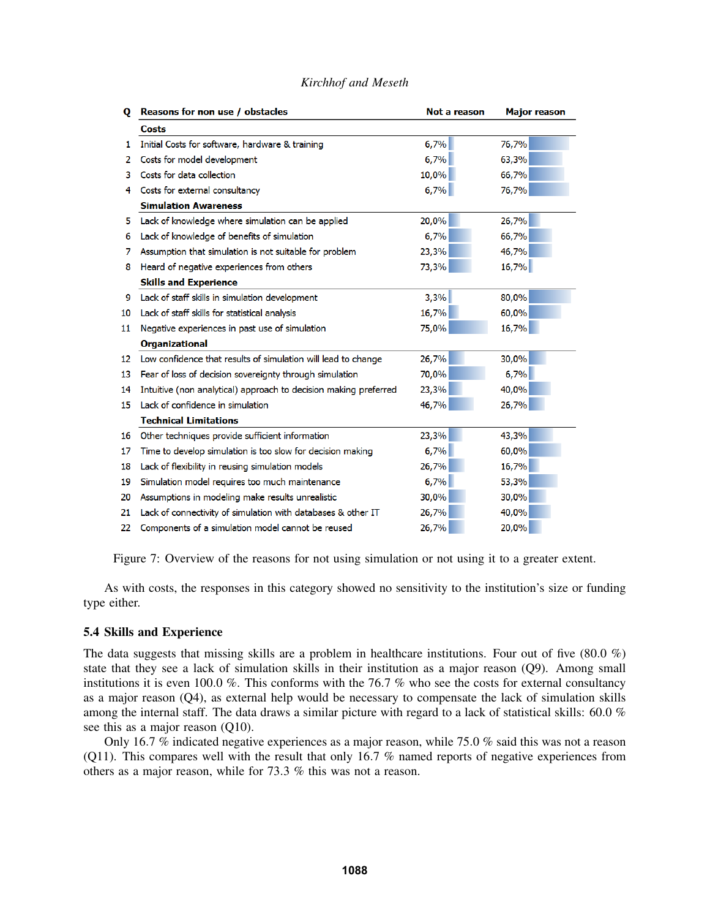| Q                 | Reasons for non use / obstacles                                  | Not a reason | <b>Major reason</b> |
|-------------------|------------------------------------------------------------------|--------------|---------------------|
|                   | Costs                                                            |              |                     |
| 1                 | Initial Costs for software, hardware & training                  | 6,7%         | 76,7%               |
| 2                 | Costs for model development                                      | 6,7%         | 63,3%               |
| з                 | Costs for data collection                                        | 10,0%        | 66,7%               |
| 4                 | Costs for external consultancy                                   | 6,7%         | 76,7%               |
|                   | <b>Simulation Awareness</b>                                      |              |                     |
| 5                 | Lack of knowledge where simulation can be applied                | 20,0%        | 26,7%               |
| 6                 | Lack of knowledge of benefits of simulation                      | 6,7%         | 66,7%               |
| 7                 | Assumption that simulation is not suitable for problem           | 23,3%        | 46,7%               |
| 8                 | Heard of negative experiences from others                        | 73,3%        | 16,7%               |
|                   | <b>Skills and Experience</b>                                     |              |                     |
| 9                 | Lack of staff skills in simulation development                   | 3,3%         | 80,0%               |
| 10                | Lack of staff skills for statistical analysis                    | 16,7%        | 60,0%               |
| 11                | Negative experiences in past use of simulation                   | 75,0%        | 16,7%               |
|                   | <b>Organizational</b>                                            |              |                     |
| $12 \overline{ }$ | Low confidence that results of simulation will lead to change    | 26,7%        | 30,0%               |
| 13                | Fear of loss of decision sovereignty through simulation          | 70,0%        | 6,7%                |
| 14                | Intuitive (non analytical) approach to decision making preferred | 23,3%        | 40,0%               |
| 15                | Lack of confidence in simulation                                 | 46,7%        | 26,7%               |
|                   | <b>Technical Limitations</b>                                     |              |                     |
| 16                | Other techniques provide sufficient information                  | 23,3%        | 43,3%               |
| 17                | Time to develop simulation is too slow for decision making       | 6,7%         | 60,0%               |
| 18                | Lack of flexibility in reusing simulation models                 | 26,7%        | 16,7%               |
| 19                | Simulation model requires too much maintenance                   | 6,7%         | 53,3%               |
| 20                | Assumptions in modeling make results unrealistic                 | 30,0%        | 30,0%               |
| 21                | Lack of connectivity of simulation with databases & other IT     | 26,7%        | 40,0%               |
| 22                | Components of a simulation model cannot be reused                | 26,7%        | 20,0%               |

Figure 7: Overview of the reasons for not using simulation or not using it to a greater extent.

As with costs, the responses in this category showed no sensitivity to the institution's size or funding type either.

### 5.4 Skills and Experience

The data suggests that missing skills are a problem in healthcare institutions. Four out of five (80.0 %) state that they see a lack of simulation skills in their institution as a major reason (Q9). Among small institutions it is even 100.0 %. This conforms with the 76.7 % who see the costs for external consultancy as a major reason (Q4), as external help would be necessary to compensate the lack of simulation skills among the internal staff. The data draws a similar picture with regard to a lack of statistical skills: 60.0 % see this as a major reason (Q10).

Only 16.7 % indicated negative experiences as a major reason, while 75.0 % said this was not a reason  $(Q11)$ . This compares well with the result that only 16.7 % named reports of negative experiences from others as a major reason, while for 73.3 % this was not a reason.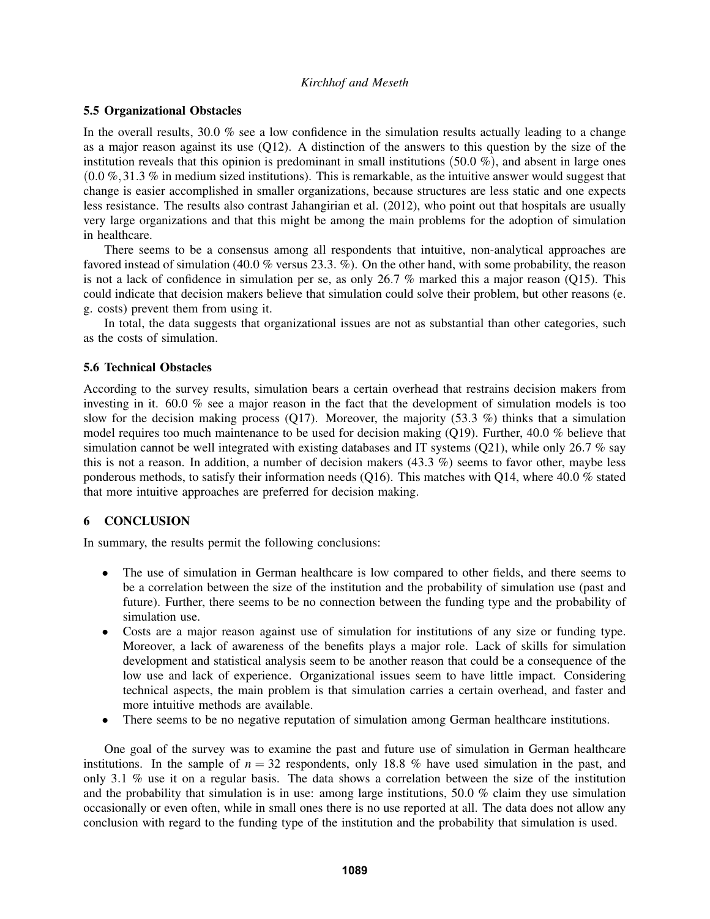#### 5.5 Organizational Obstacles

In the overall results, 30.0 % see a low confidence in the simulation results actually leading to a change as a major reason against its use (Q12). A distinction of the answers to this question by the size of the institution reveals that this opinion is predominant in small institutions  $(50.0\%)$ , and absent in large ones (0.0 %,31.3 % in medium sized institutions). This is remarkable, as the intuitive answer would suggest that change is easier accomplished in smaller organizations, because structures are less static and one expects less resistance. The results also contrast Jahangirian et al. (2012), who point out that hospitals are usually very large organizations and that this might be among the main problems for the adoption of simulation in healthcare.

There seems to be a consensus among all respondents that intuitive, non-analytical approaches are favored instead of simulation (40.0 % versus 23.3. %). On the other hand, with some probability, the reason is not a lack of confidence in simulation per se, as only  $26.7\%$  marked this a major reason (Q15). This could indicate that decision makers believe that simulation could solve their problem, but other reasons (e. g. costs) prevent them from using it.

In total, the data suggests that organizational issues are not as substantial than other categories, such as the costs of simulation.

### 5.6 Technical Obstacles

According to the survey results, simulation bears a certain overhead that restrains decision makers from investing in it. 60.0 % see a major reason in the fact that the development of simulation models is too slow for the decision making process (Q17). Moreover, the majority (53.3 %) thinks that a simulation model requires too much maintenance to be used for decision making (Q19). Further, 40.0 % believe that simulation cannot be well integrated with existing databases and IT systems (Q21), while only 26.7 % say this is not a reason. In addition, a number of decision makers (43.3 %) seems to favor other, maybe less ponderous methods, to satisfy their information needs (Q16). This matches with Q14, where 40.0 % stated that more intuitive approaches are preferred for decision making.

### 6 CONCLUSION

In summary, the results permit the following conclusions:

- The use of simulation in German healthcare is low compared to other fields, and there seems to be a correlation between the size of the institution and the probability of simulation use (past and future). Further, there seems to be no connection between the funding type and the probability of simulation use.
- Costs are a major reason against use of simulation for institutions of any size or funding type. Moreover, a lack of awareness of the benefits plays a major role. Lack of skills for simulation development and statistical analysis seem to be another reason that could be a consequence of the low use and lack of experience. Organizational issues seem to have little impact. Considering technical aspects, the main problem is that simulation carries a certain overhead, and faster and more intuitive methods are available.
- There seems to be no negative reputation of simulation among German healthcare institutions.

One goal of the survey was to examine the past and future use of simulation in German healthcare institutions. In the sample of  $n = 32$  respondents, only 18.8 % have used simulation in the past, and only 3.1 % use it on a regular basis. The data shows a correlation between the size of the institution and the probability that simulation is in use: among large institutions,  $50.0\%$  claim they use simulation occasionally or even often, while in small ones there is no use reported at all. The data does not allow any conclusion with regard to the funding type of the institution and the probability that simulation is used.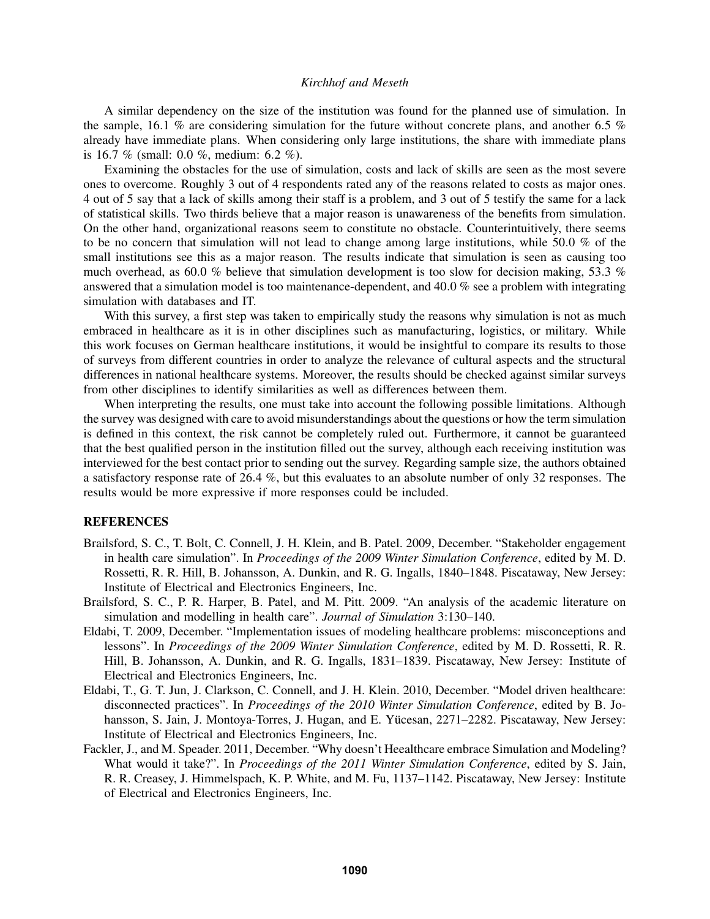A similar dependency on the size of the institution was found for the planned use of simulation. In the sample, 16.1 % are considering simulation for the future without concrete plans, and another 6.5 % already have immediate plans. When considering only large institutions, the share with immediate plans is 16.7 % (small: 0.0 %, medium: 6.2 %).

Examining the obstacles for the use of simulation, costs and lack of skills are seen as the most severe ones to overcome. Roughly 3 out of 4 respondents rated any of the reasons related to costs as major ones. 4 out of 5 say that a lack of skills among their staff is a problem, and 3 out of 5 testify the same for a lack of statistical skills. Two thirds believe that a major reason is unawareness of the benefits from simulation. On the other hand, organizational reasons seem to constitute no obstacle. Counterintuitively, there seems to be no concern that simulation will not lead to change among large institutions, while 50.0 % of the small institutions see this as a major reason. The results indicate that simulation is seen as causing too much overhead, as 60.0 % believe that simulation development is too slow for decision making, 53.3 % answered that a simulation model is too maintenance-dependent, and 40.0 % see a problem with integrating simulation with databases and IT.

With this survey, a first step was taken to empirically study the reasons why simulation is not as much embraced in healthcare as it is in other disciplines such as manufacturing, logistics, or military. While this work focuses on German healthcare institutions, it would be insightful to compare its results to those of surveys from different countries in order to analyze the relevance of cultural aspects and the structural differences in national healthcare systems. Moreover, the results should be checked against similar surveys from other disciplines to identify similarities as well as differences between them.

When interpreting the results, one must take into account the following possible limitations. Although the survey was designed with care to avoid misunderstandings about the questions or how the term simulation is defined in this context, the risk cannot be completely ruled out. Furthermore, it cannot be guaranteed that the best qualified person in the institution filled out the survey, although each receiving institution was interviewed for the best contact prior to sending out the survey. Regarding sample size, the authors obtained a satisfactory response rate of 26.4 %, but this evaluates to an absolute number of only 32 responses. The results would be more expressive if more responses could be included.

#### **REFERENCES**

- Brailsford, S. C., T. Bolt, C. Connell, J. H. Klein, and B. Patel. 2009, December. "Stakeholder engagement in health care simulation". In *Proceedings of the 2009 Winter Simulation Conference*, edited by M. D. Rossetti, R. R. Hill, B. Johansson, A. Dunkin, and R. G. Ingalls, 1840–1848. Piscataway, New Jersey: Institute of Electrical and Electronics Engineers, Inc.
- Brailsford, S. C., P. R. Harper, B. Patel, and M. Pitt. 2009. "An analysis of the academic literature on simulation and modelling in health care". *Journal of Simulation* 3:130–140.
- Eldabi, T. 2009, December. "Implementation issues of modeling healthcare problems: misconceptions and lessons". In *Proceedings of the 2009 Winter Simulation Conference*, edited by M. D. Rossetti, R. R. Hill, B. Johansson, A. Dunkin, and R. G. Ingalls, 1831–1839. Piscataway, New Jersey: Institute of Electrical and Electronics Engineers, Inc.
- Eldabi, T., G. T. Jun, J. Clarkson, C. Connell, and J. H. Klein. 2010, December. "Model driven healthcare: disconnected practices". In *Proceedings of the 2010 Winter Simulation Conference*, edited by B. Johansson, S. Jain, J. Montoya-Torres, J. Hugan, and E. Yücesan, 2271–2282. Piscataway, New Jersey: Institute of Electrical and Electronics Engineers, Inc.
- Fackler, J., and M. Speader. 2011, December. "Why doesn't Heealthcare embrace Simulation and Modeling? What would it take?". In *Proceedings of the 2011 Winter Simulation Conference*, edited by S. Jain, R. R. Creasey, J. Himmelspach, K. P. White, and M. Fu, 1137–1142. Piscataway, New Jersey: Institute of Electrical and Electronics Engineers, Inc.